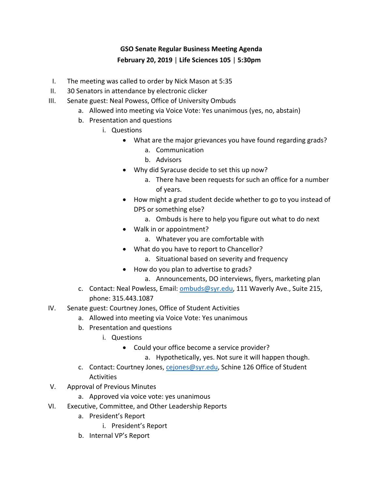## **GSO Senate Regular Business Meeting Agenda February 20, 2019** | **Life Sciences 105** | **5:30pm**

- I. The meeting was called to order by Nick Mason at 5:35
- II. 30 Senators in attendance by electronic clicker
- III. Senate guest: Neal Powess, Office of University Ombuds
	- a. Allowed into meeting via Voice Vote: Yes unanimous (yes, no, abstain)
	- b. Presentation and questions
		- i. Questions
			- What are the major grievances you have found regarding grads?
				- a. Communication
				- b. Advisors
			- Why did Syracuse decide to set this up now?
				- a. There have been requests for such an office for a number of years.
			- How might a grad student decide whether to go to you instead of DPS or something else?
				- a. Ombuds is here to help you figure out what to do next
			- Walk in or appointment?
				- a. Whatever you are comfortable with
			- What do you have to report to Chancellor?
				- a. Situational based on severity and frequency
			- How do you plan to advertise to grads?
				- a. Announcements, DO interviews, flyers, marketing plan
	- c. Contact: Neal Powless, Email: [ombuds@syr.edu,](mailto:ombuds@syr.edu) 111 Waverly Ave., Suite 215, phone: 315.443.1087
- IV. Senate guest: Courtney Jones, Office of Student Activities
	- a. Allowed into meeting via Voice Vote: Yes unanimous
	- b. Presentation and questions
		- i. Questions
			- Could your office become a service provider?
				- a. Hypothetically, yes. Not sure it will happen though.
	- c. Contact: Courtney Jones, [cejones@syr.edu,](mailto:cejones@syr.edu) Schine 126 Office of Student **Activities**
- V. Approval of Previous Minutes
	- a. Approved via voice vote: yes unanimous
- VI. Executive, Committee, and Other Leadership Reports
	- a. President's Report
		- i. President's Report
	- b. Internal VP's Report